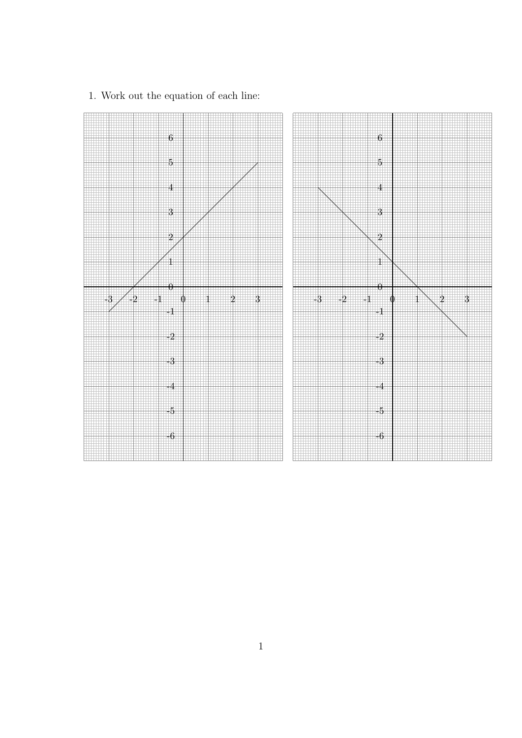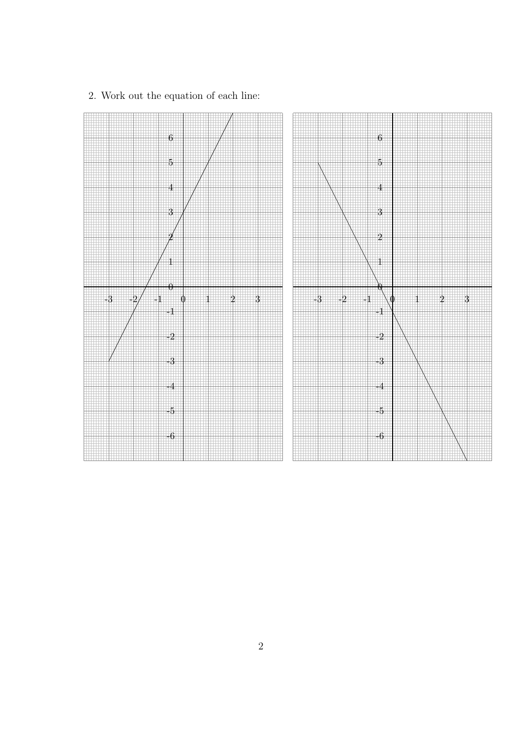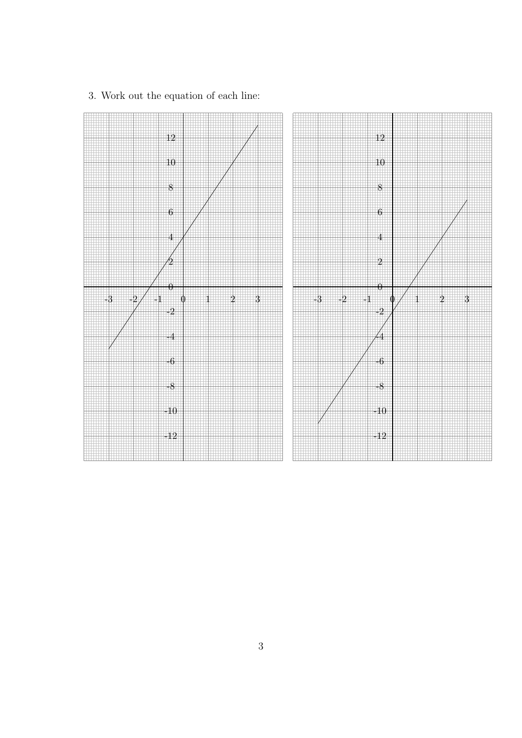

3. Work out the equation of each line: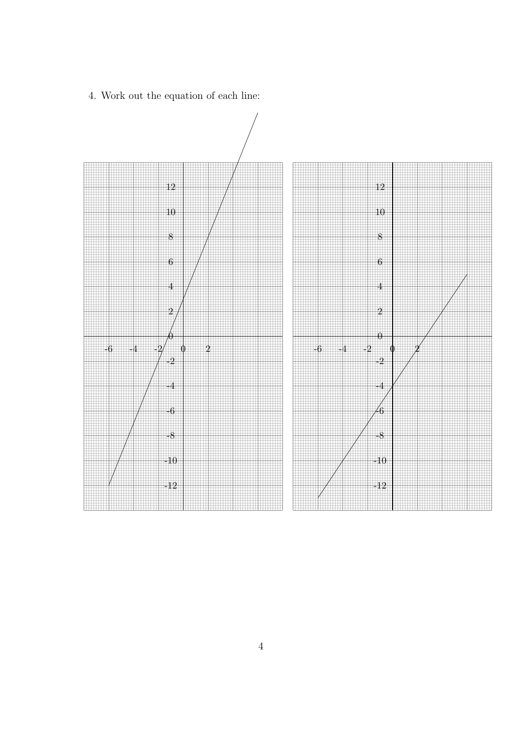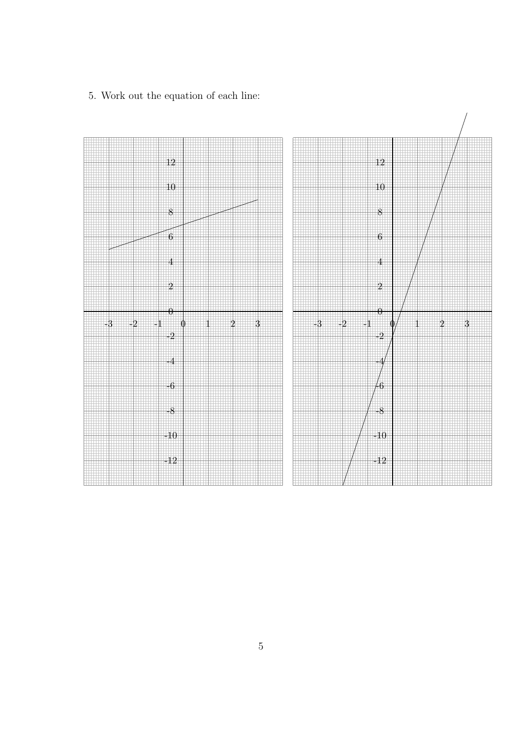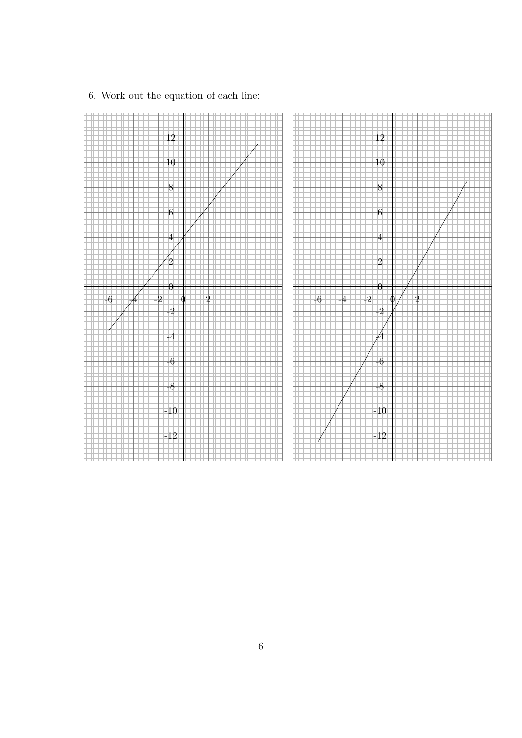

6. Work out the equation of each line: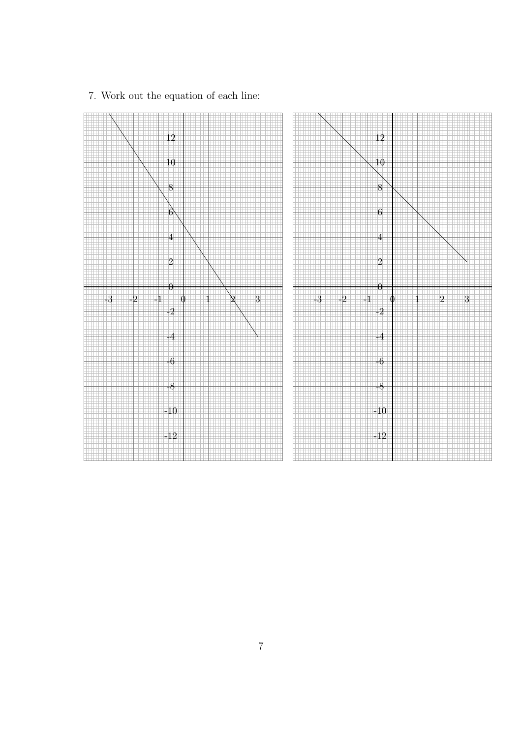

7. Work out the equation of each line: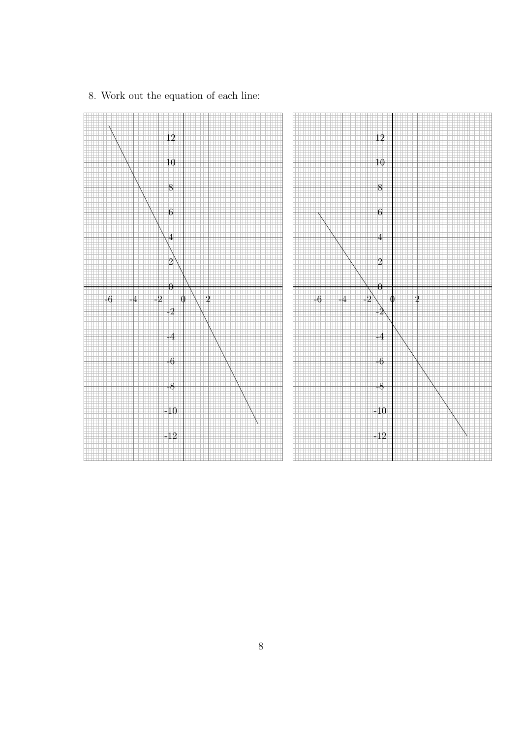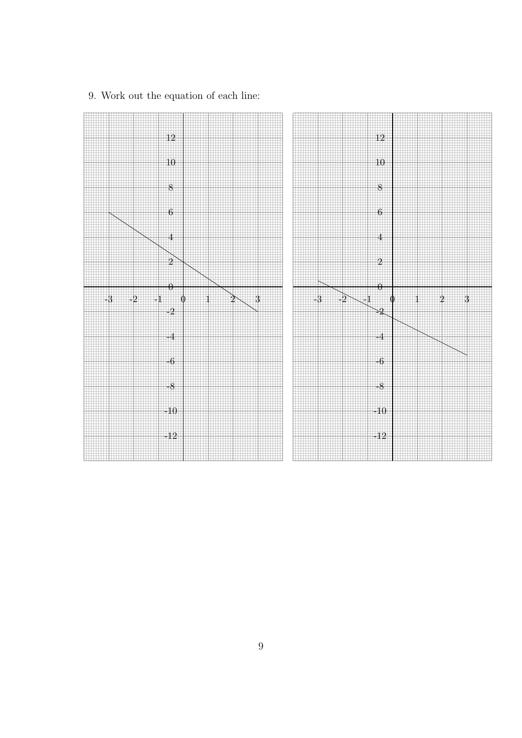